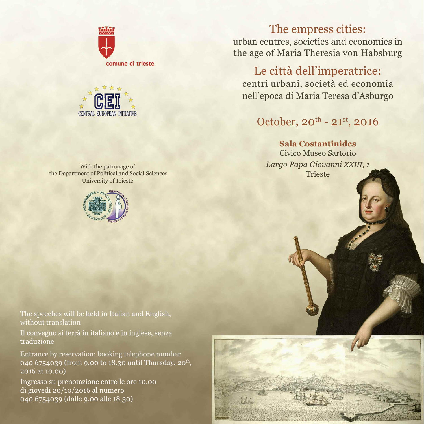



With the patronage of the Department of Political and Social Sciences University of Trieste



The speeches will be held in Italian and English, without translation

Il convegno si terrà in italiano e in inglese, senza traduzione

Entrance by reservation: booking telephone number 040 6754039 (from 9.00 to 18.30 until Thursday, 20<sup>th</sup>, 2016 at 10.00)

Ingresso su prenotazione entro le ore 10.00 di giovedì 20/10/2016 al numero 040 6754039 (dalle 9.00 alle 18.30)

The empress cities: urban centres, societies and economies in the age of Maria Theresia von Habsburg

Le città dell'imperatrice: centri urbani, società ed economia nell'epoca di Maria Teresa d'Asburgo

# October, 20<sup>th</sup> - 21<sup>st</sup>, 2016

**Sala Costantinides** Civico Museo Sartorio *Largo Papa Giovanni XXIII, 1* Trieste